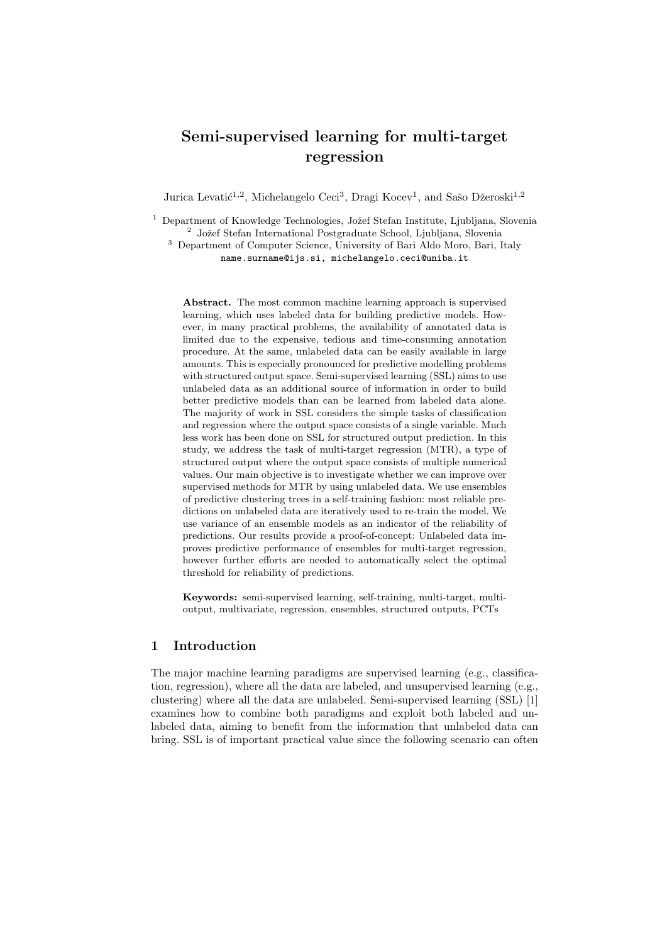# Semi-supervised learning for multi-target regression

Jurica Levatić<sup>1,2</sup>, Michelangelo Ceci<sup>3</sup>, Dragi Kocev<sup>1</sup>, and Sašo Džeroski<sup>1,2</sup>

<sup>1</sup> Department of Knowledge Technologies, Jožef Stefan Institute, Ljubljana, Slovenia <sup>2</sup> Jožef Stefan International Postgraduate School, Ljubljana, Slovenia

<sup>3</sup> Department of Computer Science, University of Bari Aldo Moro, Bari, Italy name.surname@ijs.si, michelangelo.ceci@uniba.it

Abstract. The most common machine learning approach is supervised learning, which uses labeled data for building predictive models. However, in many practical problems, the availability of annotated data is limited due to the expensive, tedious and time-consuming annotation procedure. At the same, unlabeled data can be easily available in large amounts. This is especially pronounced for predictive modelling problems with structured output space. Semi-supervised learning (SSL) aims to use unlabeled data as an additional source of information in order to build better predictive models than can be learned from labeled data alone. The majority of work in SSL considers the simple tasks of classification and regression where the output space consists of a single variable. Much less work has been done on SSL for structured output prediction. In this study, we address the task of multi-target regression (MTR), a type of structured output where the output space consists of multiple numerical values. Our main objective is to investigate whether we can improve over supervised methods for MTR by using unlabeled data. We use ensembles of predictive clustering trees in a self-training fashion: most reliable predictions on unlabeled data are iteratively used to re-train the model. We use variance of an ensemble models as an indicator of the reliability of predictions. Our results provide a proof-of-concept: Unlabeled data improves predictive performance of ensembles for multi-target regression, however further efforts are needed to automatically select the optimal threshold for reliability of predictions.

Keywords: semi-supervised learning, self-training, multi-target, multioutput, multivariate, regression, ensembles, structured outputs, PCTs

# 1 Introduction

The major machine learning paradigms are supervised learning (e.g., classification, regression), where all the data are labeled, and unsupervised learning (e.g., clustering) where all the data are unlabeled. Semi-supervised learning (SSL) [1] examines how to combine both paradigms and exploit both labeled and unlabeled data, aiming to benefit from the information that unlabeled data can bring. SSL is of important practical value since the following scenario can often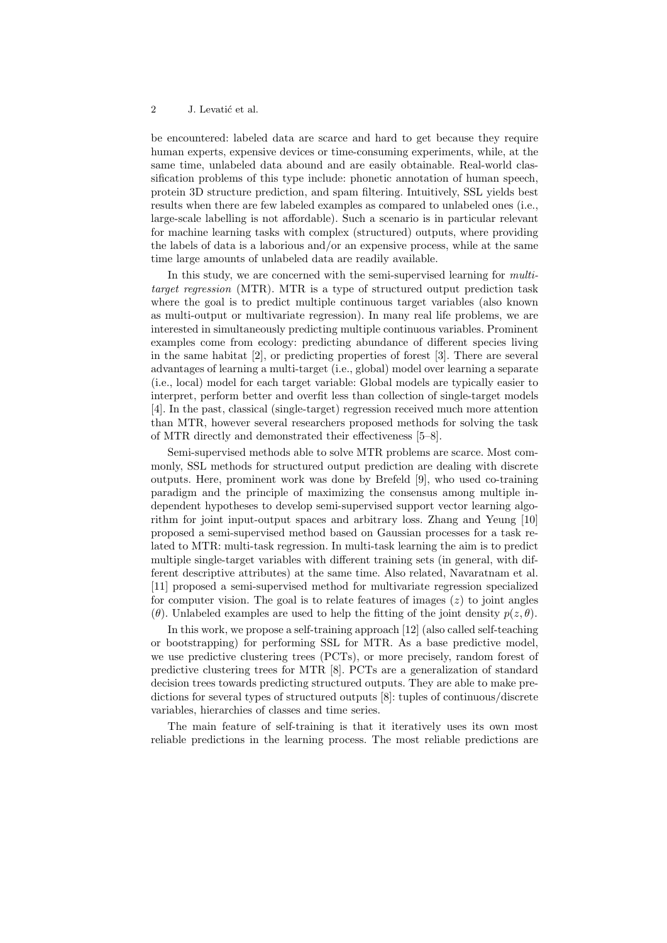be encountered: labeled data are scarce and hard to get because they require human experts, expensive devices or time-consuming experiments, while, at the same time, unlabeled data abound and are easily obtainable. Real-world classification problems of this type include: phonetic annotation of human speech, protein 3D structure prediction, and spam filtering. Intuitively, SSL yields best results when there are few labeled examples as compared to unlabeled ones (i.e., large-scale labelling is not affordable). Such a scenario is in particular relevant for machine learning tasks with complex (structured) outputs, where providing the labels of data is a laborious and/or an expensive process, while at the same time large amounts of unlabeled data are readily available.

In this study, we are concerned with the semi-supervised learning for *multi*target regression (MTR). MTR is a type of structured output prediction task where the goal is to predict multiple continuous target variables (also known as multi-output or multivariate regression). In many real life problems, we are interested in simultaneously predicting multiple continuous variables. Prominent examples come from ecology: predicting abundance of different species living in the same habitat [2], or predicting properties of forest [3]. There are several advantages of learning a multi-target (i.e., global) model over learning a separate (i.e., local) model for each target variable: Global models are typically easier to interpret, perform better and overfit less than collection of single-target models [4]. In the past, classical (single-target) regression received much more attention than MTR, however several researchers proposed methods for solving the task of MTR directly and demonstrated their effectiveness [5–8].

Semi-supervised methods able to solve MTR problems are scarce. Most commonly, SSL methods for structured output prediction are dealing with discrete outputs. Here, prominent work was done by Brefeld [9], who used co-training paradigm and the principle of maximizing the consensus among multiple independent hypotheses to develop semi-supervised support vector learning algorithm for joint input-output spaces and arbitrary loss. Zhang and Yeung [10] proposed a semi-supervised method based on Gaussian processes for a task related to MTR: multi-task regression. In multi-task learning the aim is to predict multiple single-target variables with different training sets (in general, with different descriptive attributes) at the same time. Also related, Navaratnam et al. [11] proposed a semi-supervised method for multivariate regression specialized for computer vision. The goal is to relate features of images  $(z)$  to joint angles (θ). Unlabeled examples are used to help the fitting of the joint density  $p(z, \theta)$ .

In this work, we propose a self-training approach [12] (also called self-teaching or bootstrapping) for performing SSL for MTR. As a base predictive model, we use predictive clustering trees (PCTs), or more precisely, random forest of predictive clustering trees for MTR [8]. PCTs are a generalization of standard decision trees towards predicting structured outputs. They are able to make predictions for several types of structured outputs [8]: tuples of continuous/discrete variables, hierarchies of classes and time series.

The main feature of self-training is that it iteratively uses its own most reliable predictions in the learning process. The most reliable predictions are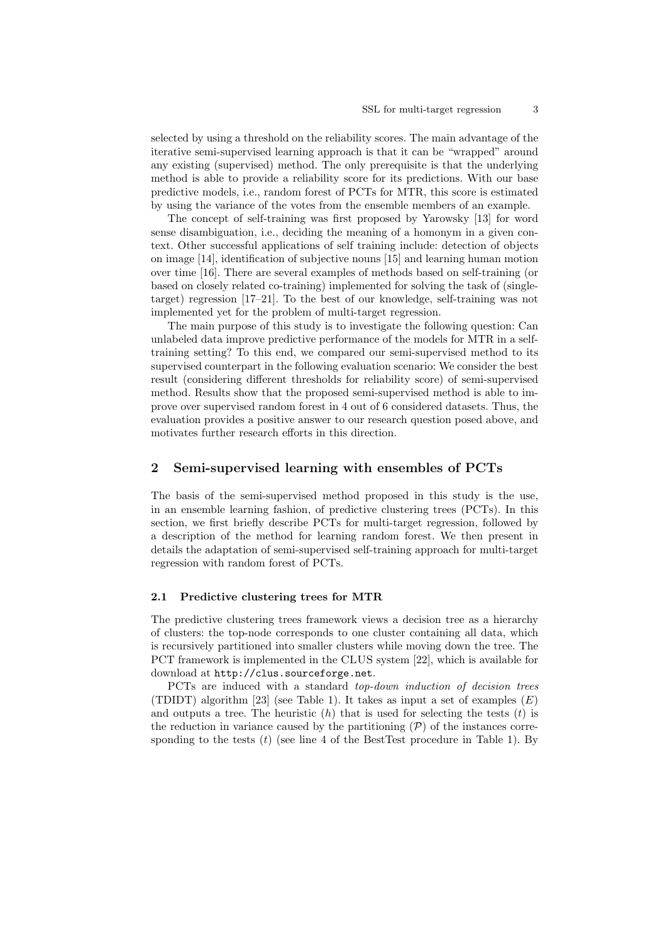selected by using a threshold on the reliability scores. The main advantage of the iterative semi-supervised learning approach is that it can be "wrapped" around any existing (supervised) method. The only prerequisite is that the underlying method is able to provide a reliability score for its predictions. With our base predictive models, i.e., random forest of PCTs for MTR, this score is estimated by using the variance of the votes from the ensemble members of an example.

The concept of self-training was first proposed by Yarowsky [13] for word sense disambiguation, i.e., deciding the meaning of a homonym in a given context. Other successful applications of self training include: detection of objects on image [14], identification of subjective nouns [15] and learning human motion over time [16]. There are several examples of methods based on self-training (or based on closely related co-training) implemented for solving the task of (singletarget) regression [17–21]. To the best of our knowledge, self-training was not implemented yet for the problem of multi-target regression.

The main purpose of this study is to investigate the following question: Can unlabeled data improve predictive performance of the models for MTR in a selftraining setting? To this end, we compared our semi-supervised method to its supervised counterpart in the following evaluation scenario: We consider the best result (considering different thresholds for reliability score) of semi-supervised method. Results show that the proposed semi-supervised method is able to improve over supervised random forest in 4 out of 6 considered datasets. Thus, the evaluation provides a positive answer to our research question posed above, and motivates further research efforts in this direction.

## 2 Semi-supervised learning with ensembles of PCTs

The basis of the semi-supervised method proposed in this study is the use, in an ensemble learning fashion, of predictive clustering trees (PCTs). In this section, we first briefly describe PCTs for multi-target regression, followed by a description of the method for learning random forest. We then present in details the adaptation of semi-supervised self-training approach for multi-target regression with random forest of PCTs.

### 2.1 Predictive clustering trees for MTR

The predictive clustering trees framework views a decision tree as a hierarchy of clusters: the top-node corresponds to one cluster containing all data, which is recursively partitioned into smaller clusters while moving down the tree. The PCT framework is implemented in the CLUS system [22], which is available for download at http://clus.sourceforge.net.

PCTs are induced with a standard top-down induction of decision trees (TDIDT) algorithm [23] (see Table 1). It takes as input a set of examples  $(E)$ and outputs a tree. The heuristic  $(h)$  that is used for selecting the tests  $(t)$  is the reduction in variance caused by the partitioning  $(\mathcal{P})$  of the instances corresponding to the tests  $(t)$  (see line 4 of the BestTest procedure in Table 1). By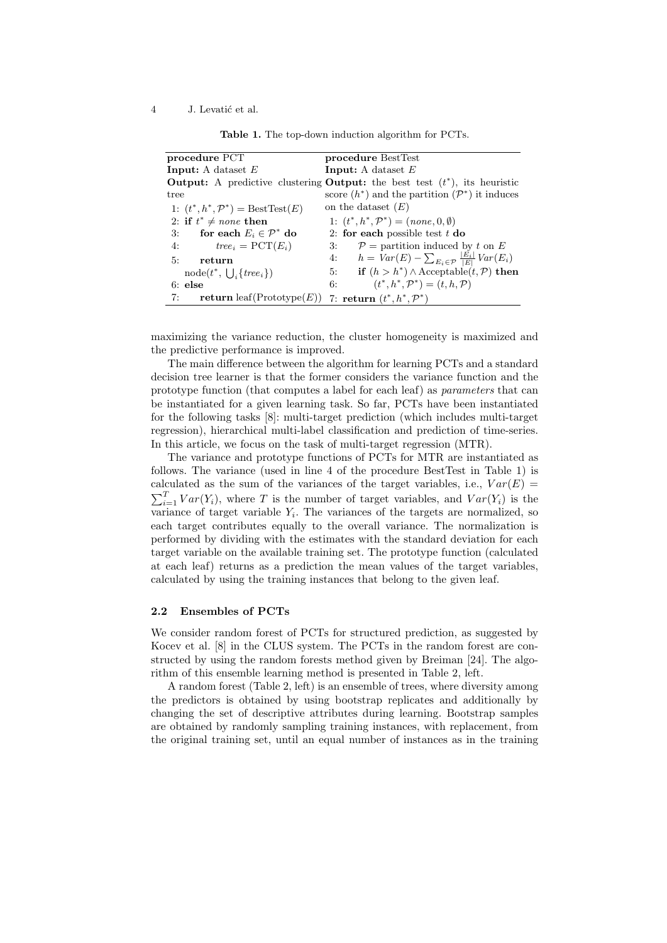| procedure PCT                                                         | procedure BestTest                                                                          |  |  |  |  |
|-----------------------------------------------------------------------|---------------------------------------------------------------------------------------------|--|--|--|--|
| <b>Input:</b> A dataset $E$                                           | <b>Input:</b> A dataset $E$                                                                 |  |  |  |  |
|                                                                       | <b>Output:</b> A predictive clustering <b>Output:</b> the best test $(t^*)$ , its heuristic |  |  |  |  |
| tree                                                                  | score $(h^*)$ and the partition $(\mathcal{P}^*)$ it induces                                |  |  |  |  |
| 1: $(t^*, h^*, \mathcal{P}^*) = \text{BestTest}(E)$                   | on the dataset $(E)$                                                                        |  |  |  |  |
| 2: if $t^* \neq none$ then                                            | 1: $(t^*, h^*, \mathcal{P}^*) = (none, 0, \emptyset)$                                       |  |  |  |  |
| for each $E_i \in \mathcal{P}^*$ do<br>3:                             | 2: for each possible test $t$ do                                                            |  |  |  |  |
| 4: $tree_i = PCT(E_i)$                                                | $\mathcal{P}$ = partition induced by t on E<br>3:                                           |  |  |  |  |
| 5:<br>return                                                          | 4: $h = Var(E) - \sum_{E_i \in \mathcal{P}} \frac{ E_i }{ E } Var(E_i)$                     |  |  |  |  |
| $node(t^*, \cup \{tree_i\})$                                          | 5: if $(h > h^*) \wedge$ Acceptable $(t, \mathcal{P})$ then                                 |  |  |  |  |
| $6:$ else                                                             | $(t^*, h^*, \mathcal{P}^*) = (t, h, \mathcal{P})$<br>6:                                     |  |  |  |  |
| 7:<br>return leaf(Prototype(E)) 7: return $(t^*, h^*, \mathcal{P}^*)$ |                                                                                             |  |  |  |  |

Table 1. The top-down induction algorithm for PCTs.

maximizing the variance reduction, the cluster homogeneity is maximized and the predictive performance is improved.

The main difference between the algorithm for learning PCTs and a standard decision tree learner is that the former considers the variance function and the prototype function (that computes a label for each leaf) as parameters that can be instantiated for a given learning task. So far, PCTs have been instantiated for the following tasks [8]: multi-target prediction (which includes multi-target regression), hierarchical multi-label classification and prediction of time-series. In this article, we focus on the task of multi-target regression (MTR).

The variance and prototype functions of PCTs for MTR are instantiated as follows. The variance (used in line 4 of the procedure BestTest in Table 1) is calculated as the sum of the variances of the target variables, i.e.,  $Var(E)$  =  $\sum_{i=1}^{T} Var(Y_i)$ , where T is the number of target variables, and  $Var(Y_i)$  is the variance of target variable  $Y_i$ . The variances of the targets are normalized, so each target contributes equally to the overall variance. The normalization is performed by dividing with the estimates with the standard deviation for each target variable on the available training set. The prototype function (calculated at each leaf) returns as a prediction the mean values of the target variables, calculated by using the training instances that belong to the given leaf.

#### 2.2 Ensembles of PCTs

We consider random forest of PCTs for structured prediction, as suggested by Kocev et al. [8] in the CLUS system. The PCTs in the random forest are constructed by using the random forests method given by Breiman [24]. The algorithm of this ensemble learning method is presented in Table 2, left.

A random forest (Table 2, left) is an ensemble of trees, where diversity among the predictors is obtained by using bootstrap replicates and additionally by changing the set of descriptive attributes during learning. Bootstrap samples are obtained by randomly sampling training instances, with replacement, from the original training set, until an equal number of instances as in the training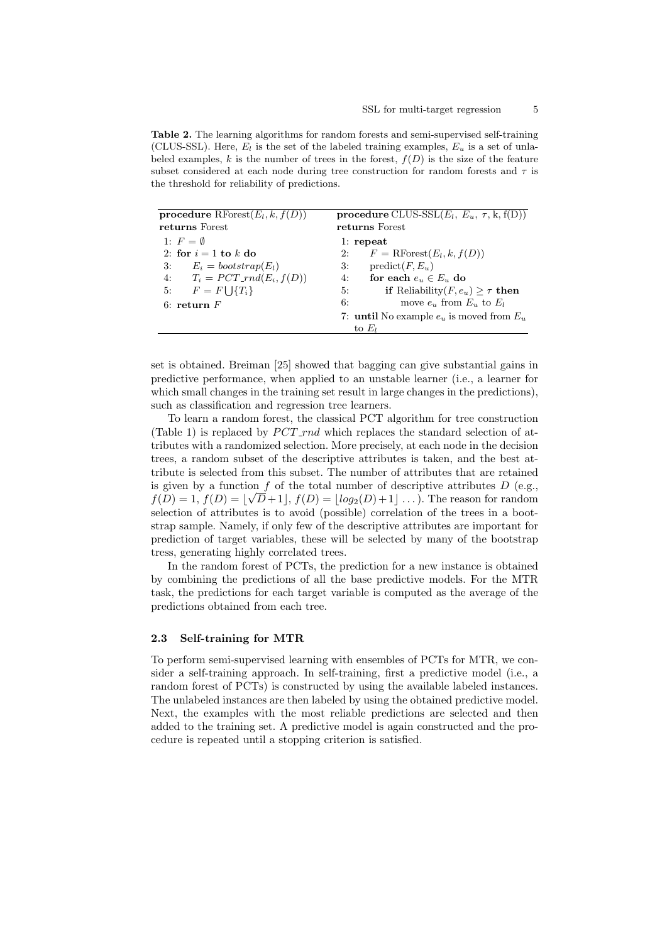Table 2. The learning algorithms for random forests and semi-supervised self-training (CLUS-SSL). Here,  $E_l$  is the set of the labeled training examples,  $E_u$  is a set of unlabeled examples, k is the number of trees in the forest,  $f(D)$  is the size of the feature subset considered at each node during tree construction for random forests and  $\tau$  is the threshold for reliability of predictions.

| procedure RForest $(E_l, k, f(D))$<br>returns Forest | procedure CLUS-SSL $(E_l, E_u, \tau, k, f(D))$<br>returns Forest |  |  |  |  |  |
|------------------------------------------------------|------------------------------------------------------------------|--|--|--|--|--|
| 1: $F = \emptyset$                                   | $1:$ repeat                                                      |  |  |  |  |  |
| 2: for $i = 1$ to k do                               | $F = \text{RForest}(E_l, k, f(D))$<br>2:                         |  |  |  |  |  |
| $E_i = bootstrap(E_i)$<br>3:                         | $predict(F, E_u)$<br>3:                                          |  |  |  |  |  |
| 4: $T_i = PCT\_rnd(E_i, f(D))$                       | for each $e_u \in E_u$ do<br>4:                                  |  |  |  |  |  |
| 5: $F = F \cup \{T_i\}$                              | <b>if</b> Reliability( $F, e_u$ ) > $\tau$ then<br>5:            |  |  |  |  |  |
| 6: return $F$                                        | move $e_u$ from $E_u$ to $E_l$<br>6:                             |  |  |  |  |  |
|                                                      | 7: <b>until</b> No example $e_u$ is moved from $E_u$             |  |  |  |  |  |
|                                                      | to $E_i$                                                         |  |  |  |  |  |

set is obtained. Breiman [25] showed that bagging can give substantial gains in predictive performance, when applied to an unstable learner (i.e., a learner for which small changes in the training set result in large changes in the predictions), such as classification and regression tree learners.

To learn a random forest, the classical PCT algorithm for tree construction (Table 1) is replaced by  $PCT$ -rnd which replaces the standard selection of attributes with a randomized selection. More precisely, at each node in the decision trees, a random subset of the descriptive attributes is taken, and the best attribute is selected from this subset. The number of attributes that are retained is given by a function  $f$  of the total number of descriptive attributes  $D$  (e.g.,  $f(D) = 1, f(D) = \lfloor \sqrt{D+1} \rfloor, f(D) = \lfloor log_2(D)+1 \rfloor \ldots$ . The reason for random selection of attributes is to avoid (possible) correlation of the trees in a bootstrap sample. Namely, if only few of the descriptive attributes are important for prediction of target variables, these will be selected by many of the bootstrap tress, generating highly correlated trees.

In the random forest of PCTs, the prediction for a new instance is obtained by combining the predictions of all the base predictive models. For the MTR task, the predictions for each target variable is computed as the average of the predictions obtained from each tree.

#### 2.3 Self-training for MTR

To perform semi-supervised learning with ensembles of PCTs for MTR, we consider a self-training approach. In self-training, first a predictive model (i.e., a random forest of PCTs) is constructed by using the available labeled instances. The unlabeled instances are then labeled by using the obtained predictive model. Next, the examples with the most reliable predictions are selected and then added to the training set. A predictive model is again constructed and the procedure is repeated until a stopping criterion is satisfied.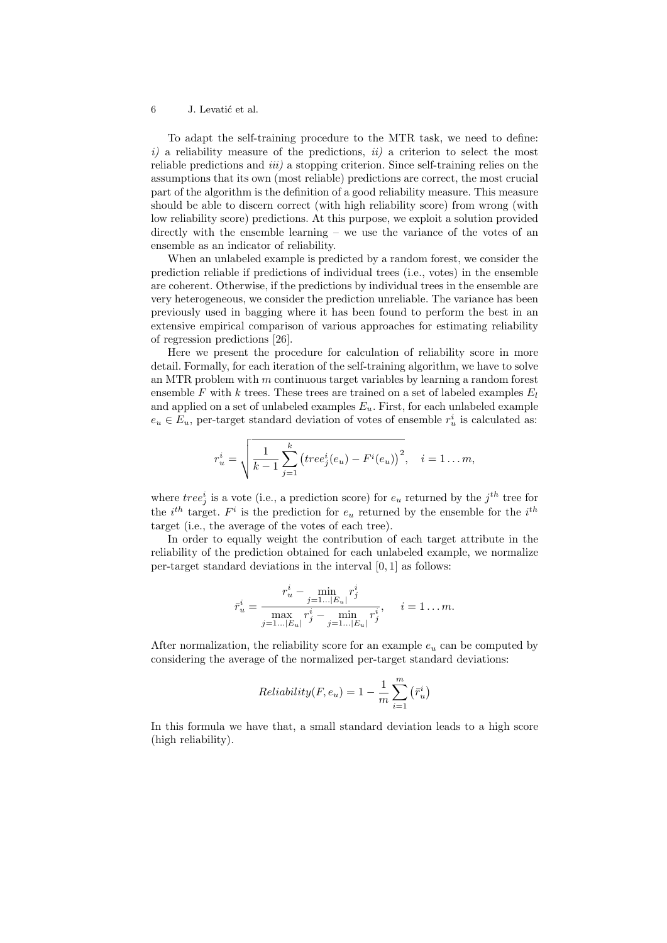To adapt the self-training procedure to the MTR task, we need to define:  $i)$  a reliability measure of the predictions,  $ii)$  a criterion to select the most reliable predictions and  $iii$ ) a stopping criterion. Since self-training relies on the assumptions that its own (most reliable) predictions are correct, the most crucial part of the algorithm is the definition of a good reliability measure. This measure should be able to discern correct (with high reliability score) from wrong (with low reliability score) predictions. At this purpose, we exploit a solution provided directly with the ensemble learning – we use the variance of the votes of an ensemble as an indicator of reliability.

When an unlabeled example is predicted by a random forest, we consider the prediction reliable if predictions of individual trees (i.e., votes) in the ensemble are coherent. Otherwise, if the predictions by individual trees in the ensemble are very heterogeneous, we consider the prediction unreliable. The variance has been previously used in bagging where it has been found to perform the best in an extensive empirical comparison of various approaches for estimating reliability of regression predictions [26].

Here we present the procedure for calculation of reliability score in more detail. Formally, for each iteration of the self-training algorithm, we have to solve an MTR problem with m continuous target variables by learning a random forest ensemble F with k trees. These trees are trained on a set of labeled examples  $E_l$ and applied on a set of unlabeled examples  $E_u$ . First, for each unlabeled example  $e_u \in E_u$ , per-target standard deviation of votes of ensemble  $r_u^i$  is calculated as:

$$
r_u^i = \sqrt{\frac{1}{k-1} \sum_{j=1}^k (tree_j^i(e_u) - F^i(e_u))^2}, \quad i = 1 ... m,
$$

where  $tree_j^i$  is a vote (i.e., a prediction score) for  $e_u$  returned by the  $j^{th}$  tree for the  $i^{th}$  target.  $F^i$  is the prediction for  $e_u$  returned by the ensemble for the  $i^{th}$ target (i.e., the average of the votes of each tree).

In order to equally weight the contribution of each target attribute in the reliability of the prediction obtained for each unlabeled example, we normalize per-target standard deviations in the interval [0, 1] as follows:

$$
\bar{r}_{u}^{i} = \frac{r_{u}^{i} - \min_{j=1...|E_{u}|} r_{j}^{i}}{\max_{j=1...|E_{u}|} r_{j}^{i} - \min_{j=1...|E_{u}|} r_{j}^{i}}, \quad i = 1...m.
$$

After normalization, the reliability score for an example  $e_u$  can be computed by considering the average of the normalized per-target standard deviations:

$$
Reliability(F, e_u) = 1 - \frac{1}{m} \sum_{i=1}^{m} (\bar{r}_u^i)
$$

In this formula we have that, a small standard deviation leads to a high score (high reliability).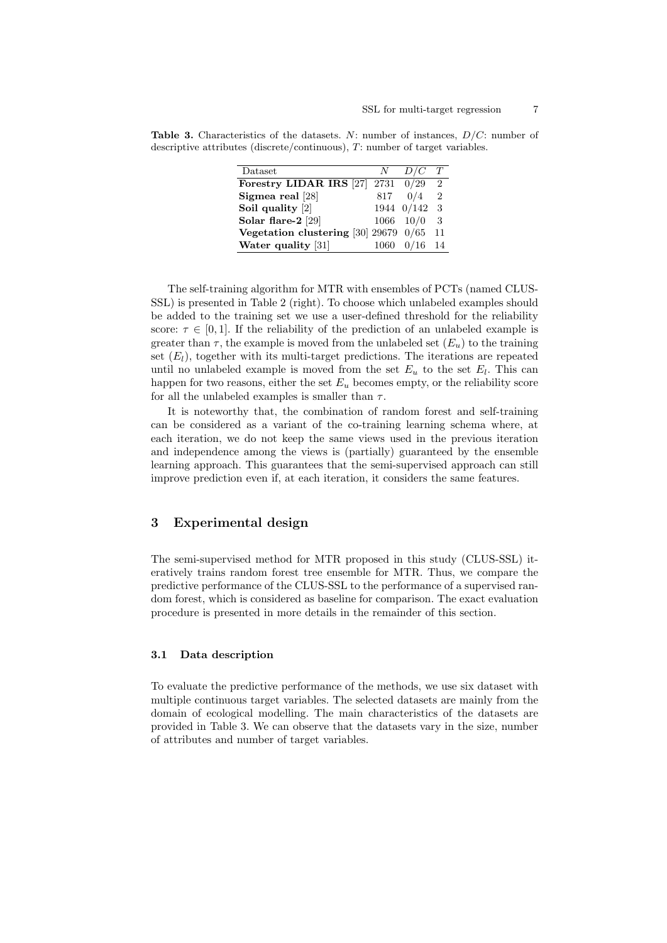**Table 3.** Characteristics of the datasets. N: number of instances,  $D/C$ : number of descriptive attributes (discrete/continuous), T: number of target variables.

| N    | D/C | T                                                                                                                           |
|------|-----|-----------------------------------------------------------------------------------------------------------------------------|
|      |     | $\mathcal{D}$                                                                                                               |
| 817  | 0/4 | $\overline{2}$                                                                                                              |
|      |     | 3 <sup>3</sup>                                                                                                              |
|      |     | 3                                                                                                                           |
|      |     | 11                                                                                                                          |
| 1060 |     | 14                                                                                                                          |
|      |     | Forestry LIDAR IRS $[27]$ 2731 0/29<br>1944 0/142<br>$1066 \quad 10/0$<br>Vegetation clustering $[30]$ 29679 $0/65$<br>0/16 |

The self-training algorithm for MTR with ensembles of PCTs (named CLUS-SSL) is presented in Table 2 (right). To choose which unlabeled examples should be added to the training set we use a user-defined threshold for the reliability score:  $\tau \in [0, 1]$ . If the reliability of the prediction of an unlabeled example is greater than  $\tau$ , the example is moved from the unlabeled set  $(E_u)$  to the training set  $(E_l)$ , together with its multi-target predictions. The iterations are repeated until no unlabeled example is moved from the set  $E_u$  to the set  $E_l$ . This can happen for two reasons, either the set  $E_u$  becomes empty, or the reliability score for all the unlabeled examples is smaller than  $\tau$ .

It is noteworthy that, the combination of random forest and self-training can be considered as a variant of the co-training learning schema where, at each iteration, we do not keep the same views used in the previous iteration and independence among the views is (partially) guaranteed by the ensemble learning approach. This guarantees that the semi-supervised approach can still improve prediction even if, at each iteration, it considers the same features.

# 3 Experimental design

The semi-supervised method for MTR proposed in this study (CLUS-SSL) iteratively trains random forest tree ensemble for MTR. Thus, we compare the predictive performance of the CLUS-SSL to the performance of a supervised random forest, which is considered as baseline for comparison. The exact evaluation procedure is presented in more details in the remainder of this section.

#### 3.1 Data description

To evaluate the predictive performance of the methods, we use six dataset with multiple continuous target variables. The selected datasets are mainly from the domain of ecological modelling. The main characteristics of the datasets are provided in Table 3. We can observe that the datasets vary in the size, number of attributes and number of target variables.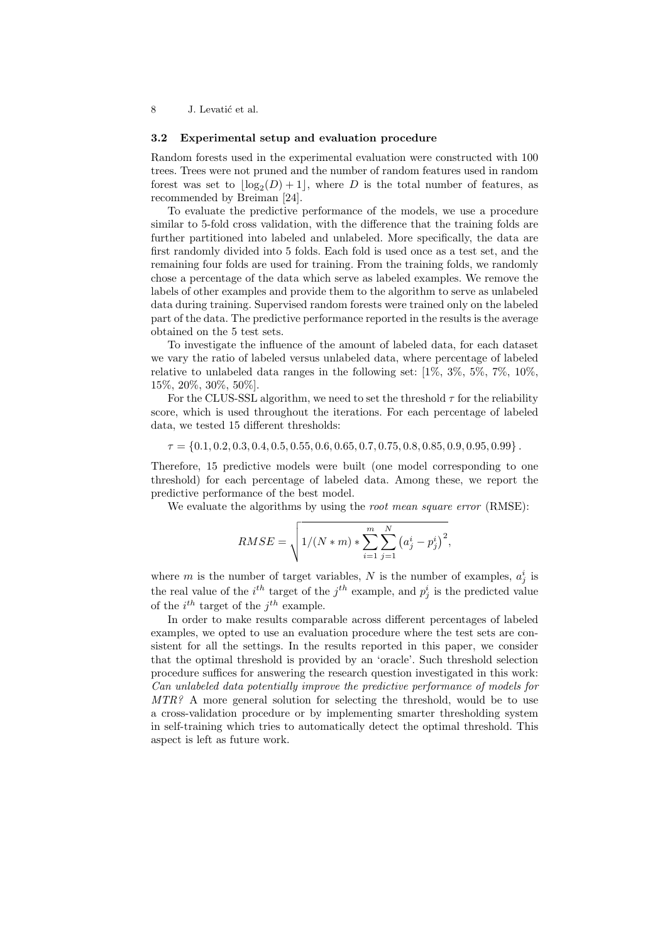#### 3.2 Experimental setup and evaluation procedure

Random forests used in the experimental evaluation were constructed with 100 trees. Trees were not pruned and the number of random features used in random forest was set to  $\lfloor \log_2(D) + 1 \rfloor$ , where D is the total number of features, as recommended by Breiman [24].

To evaluate the predictive performance of the models, we use a procedure similar to 5-fold cross validation, with the difference that the training folds are further partitioned into labeled and unlabeled. More specifically, the data are first randomly divided into 5 folds. Each fold is used once as a test set, and the remaining four folds are used for training. From the training folds, we randomly chose a percentage of the data which serve as labeled examples. We remove the labels of other examples and provide them to the algorithm to serve as unlabeled data during training. Supervised random forests were trained only on the labeled part of the data. The predictive performance reported in the results is the average obtained on the 5 test sets.

To investigate the influence of the amount of labeled data, for each dataset we vary the ratio of labeled versus unlabeled data, where percentage of labeled relative to unlabeled data ranges in the following set:  $[1\%, 3\%, 5\%, 7\%, 10\%$ , 15%, 20%, 30%, 50%].

For the CLUS-SSL algorithm, we need to set the threshold  $\tau$  for the reliability score, which is used throughout the iterations. For each percentage of labeled data, we tested 15 different thresholds:

### $\tau = \{0.1, 0.2, 0.3, 0.4, 0.5, 0.55, 0.6, 0.65, 0.7, 0.75, 0.8, 0.85, 0.9, 0.95, 0.99\}.$

Therefore, 15 predictive models were built (one model corresponding to one threshold) for each percentage of labeled data. Among these, we report the predictive performance of the best model.

We evaluate the algorithms by using the *root mean square error* (RMSE):

$$
RMSE = \sqrt{1/(N*m) * \sum_{i=1}^{m} \sum_{j=1}^{N} (a_j^i - p_j^i)^2},
$$

where m is the number of target variables, N is the number of examples,  $a_j^i$  is the real value of the  $i^{th}$  target of the  $j^{th}$  example, and  $p_j^i$  is the predicted value of the  $i^{th}$  target of the  $j^{th}$  example.

In order to make results comparable across different percentages of labeled examples, we opted to use an evaluation procedure where the test sets are consistent for all the settings. In the results reported in this paper, we consider that the optimal threshold is provided by an 'oracle'. Such threshold selection procedure suffices for answering the research question investigated in this work: Can unlabeled data potentially improve the predictive performance of models for  $MTR$ ? A more general solution for selecting the threshold, would be to use a cross-validation procedure or by implementing smarter thresholding system in self-training which tries to automatically detect the optimal threshold. This aspect is left as future work.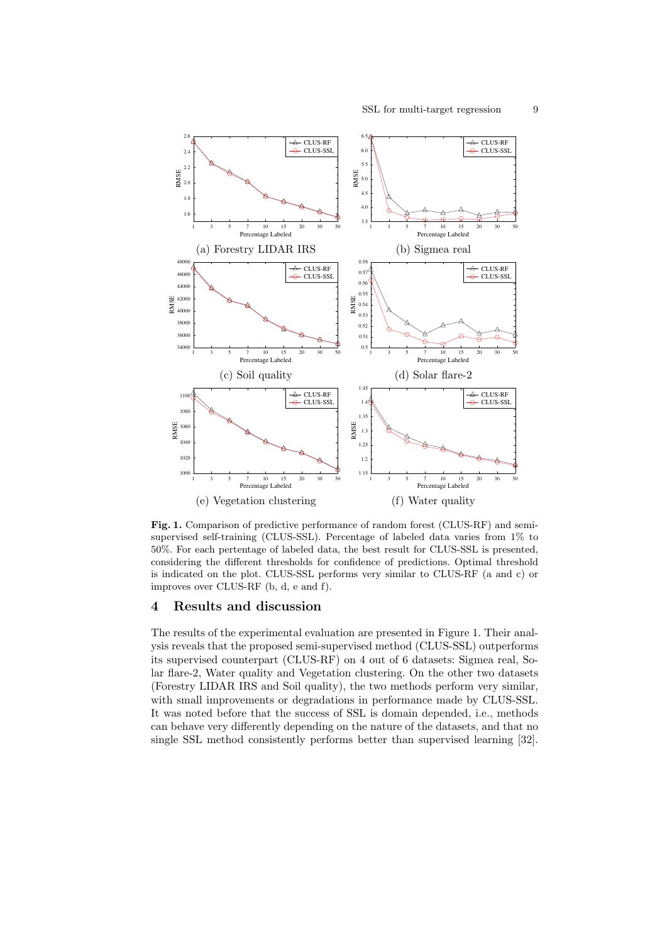

Fig. 1. Comparison of predictive performance of random forest (CLUS-RF) and semisupervised self-training (CLUS-SSL). Percentage of labeled data varies from 1% to 50%. For each pertentage of labeled data, the best result for CLUS-SSL is presented, considering the different thresholds for confidence of predictions. Optimal threshold is indicated on the plot. CLUS-SSL performs very similar to CLUS-RF (a and c) or improves over CLUS-RF (b, d, e and f).

# 4 Results and discussion

The results of the experimental evaluation are presented in Figure 1. Their analysis reveals that the proposed semi-supervised method (CLUS-SSL) outperforms its supervised counterpart (CLUS-RF) on 4 out of 6 datasets: Sigmea real, Solar flare-2, Water quality and Vegetation clustering. On the other two datasets (Forestry LIDAR IRS and Soil quality), the two methods perform very similar, with small improvements or degradations in performance made by CLUS-SSL. It was noted before that the success of SSL is domain depended, i.e., methods can behave very differently depending on the nature of the datasets, and that no single SSL method consistently performs better than supervised learning [32].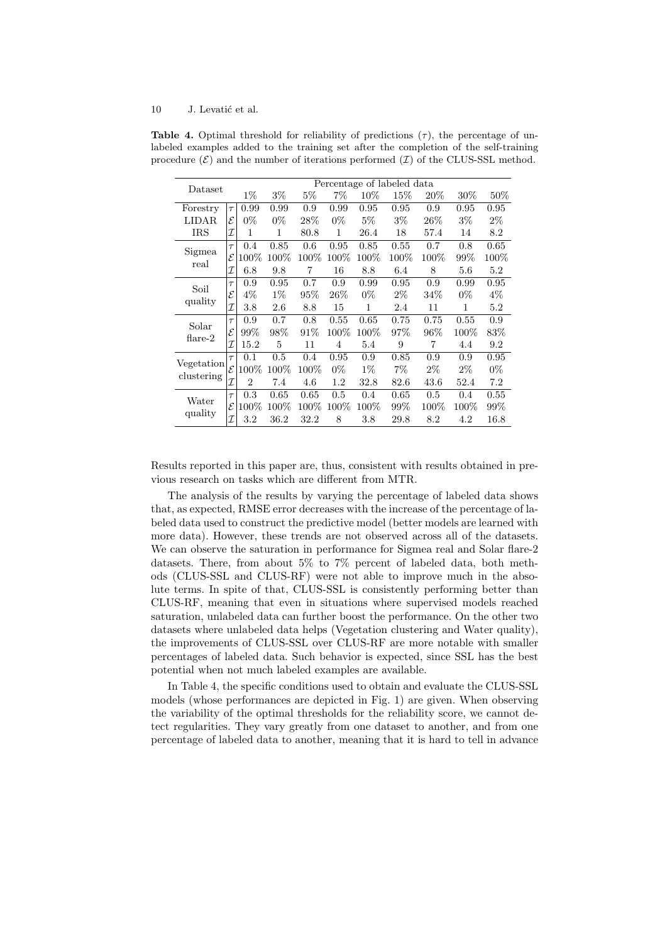| Dataset                  |              | Percentage of labeled data |         |         |        |        |       |        |         |         |
|--------------------------|--------------|----------------------------|---------|---------|--------|--------|-------|--------|---------|---------|
|                          |              | $1\%$                      | $3\%$   | $5\%$   | $7\%$  | $10\%$ | 15%   | $20\%$ | $30\%$  | $50\%$  |
| Forestry                 | $\tau$       | 0.99                       | 0.99    | 0.9     | 0.99   | 0.95   | 0.95  | 0.9    | 0.95    | 0.95    |
| LIDAR                    | ε            | $0\%$                      | $0\%$   | $28\%$  | $0\%$  | $5\%$  | $3\%$ | 26%    | $3\%$   | $2\%$   |
| <b>IRS</b>               | I            | $\mathbf{1}$               | 1       | 80.8    | 1      | 26.4   | 18    | 57.4   | 14      | 8.2     |
| Sigmea<br>real           | $\tau$       | 0.4                        | 0.85    | 0.6     | 0.95   | 0.85   | 0.55  | 0.7    | 0.8     | 0.65    |
|                          | $\mathcal E$ | 100%                       | $100\%$ | $100\%$ | 100%   | 100%   | 100%  | 100%   | 99%     | $100\%$ |
|                          | I            | 6.8                        | 9.8     | 7       | 16     | 8.8    | 6.4   | 8      | 5.6     | 5.2     |
| Soil<br>quality          | $\tau$       | 0.9                        | 0.95    | 0.7     | 0.9    | 0.99   | 0.95  | 0.9    | 0.99    | 0.95    |
|                          | ${\cal E}$   | $4\%$                      | $1\%$   | $95\%$  | $26\%$ | $0\%$  | $2\%$ | 34\%   | $0\%$   | $4\%$   |
|                          | T            | 3.8                        | 2.6     | 8.8     | 15     | 1      | 2.4   | 11     | 1       | 5.2     |
| Solar<br>$flare-2$       | $\tau$       | 0.9                        | 0.7     | 0.8     | 0.55   | 0.65   | 0.75  | 0.75   | 0.55    | 0.9     |
|                          | $\mathcal E$ | 99%                        | 98%     | 91%     | 100%   | 100%   | 97%   | 96%    | 100%    | 83%     |
|                          | I            | 15.2                       | 5       | 11      | 4      | 5.4    | 9     | 7      | 4.4     | 9.2     |
| Vegetation<br>clustering | $\tau$       | 0.1                        | 0.5     | 0.4     | 0.95   | 0.9    | 0.85  | 0.9    | 0.9     | 0.95    |
|                          | $\mathcal E$ | 100%                       | 100%    | $100\%$ | $0\%$  | $1\%$  | $7\%$ | $2\%$  | $2\%$   | $0\%$   |
|                          | I            | $\overline{2}$             | 7.4     | 4.6     | 1.2    | 32.8   | 82.6  | 43.6   | 52.4    | 7.2     |
| Water<br>quality         | $\tau$       | 0.3                        | 0.65    | 0.65    | 0.5    | 0.4    | 0.65  | 0.5    | 0.4     | 0.55    |
|                          | $\mathcal E$ | 100%                       | $100\%$ | $100\%$ | 100%   | 100%   | 99%   | 100%   | $100\%$ | 99%     |
|                          | I            | 3.2                        | 36.2    | 32.2    | 8      | 3.8    | 29.8  | 8.2    | 4.2     | 16.8    |

**Table 4.** Optimal threshold for reliability of predictions  $(\tau)$ , the percentage of unlabeled examples added to the training set after the completion of the self-training procedure  $(\mathcal{E})$  and the number of iterations performed  $(\mathcal{I})$  of the CLUS-SSL method.

Results reported in this paper are, thus, consistent with results obtained in previous research on tasks which are different from MTR.

The analysis of the results by varying the percentage of labeled data shows that, as expected, RMSE error decreases with the increase of the percentage of labeled data used to construct the predictive model (better models are learned with more data). However, these trends are not observed across all of the datasets. We can observe the saturation in performance for Sigmea real and Solar flare-2 datasets. There, from about 5% to 7% percent of labeled data, both methods (CLUS-SSL and CLUS-RF) were not able to improve much in the absolute terms. In spite of that, CLUS-SSL is consistently performing better than CLUS-RF, meaning that even in situations where supervised models reached saturation, unlabeled data can further boost the performance. On the other two datasets where unlabeled data helps (Vegetation clustering and Water quality), the improvements of CLUS-SSL over CLUS-RF are more notable with smaller percentages of labeled data. Such behavior is expected, since SSL has the best potential when not much labeled examples are available.

In Table 4, the specific conditions used to obtain and evaluate the CLUS-SSL models (whose performances are depicted in Fig. 1) are given. When observing the variability of the optimal thresholds for the reliability score, we cannot detect regularities. They vary greatly from one dataset to another, and from one percentage of labeled data to another, meaning that it is hard to tell in advance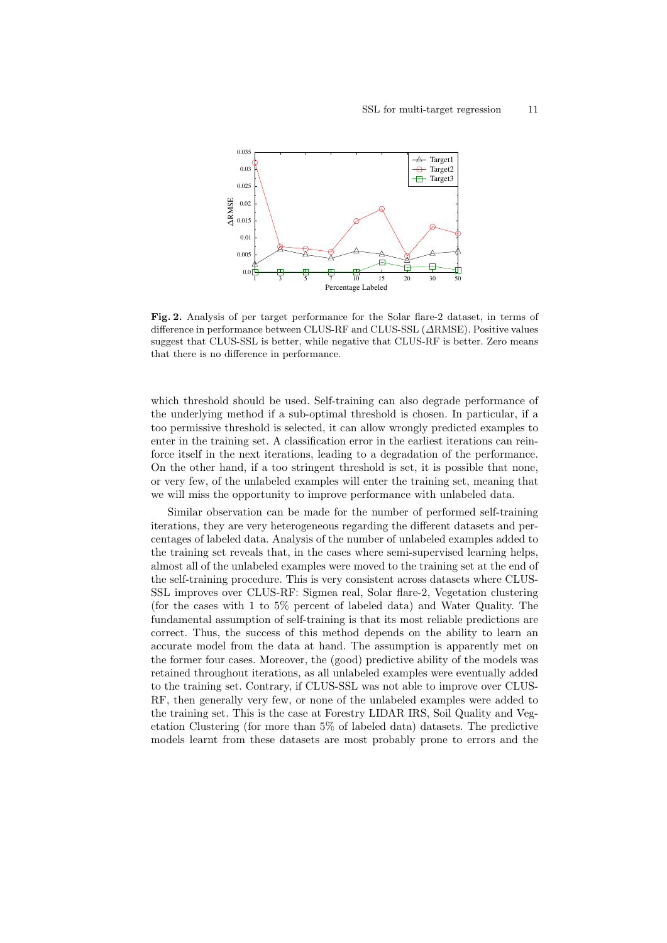

Fig. 2. Analysis of per target performance for the Solar flare-2 dataset, in terms of difference in performance between CLUS-RF and CLUS-SSL (∆RMSE). Positive values suggest that CLUS-SSL is better, while negative that CLUS-RF is better. Zero means that there is no difference in performance.

which threshold should be used. Self-training can also degrade performance of the underlying method if a sub-optimal threshold is chosen. In particular, if a too permissive threshold is selected, it can allow wrongly predicted examples to enter in the training set. A classification error in the earliest iterations can reinforce itself in the next iterations, leading to a degradation of the performance. On the other hand, if a too stringent threshold is set, it is possible that none, or very few, of the unlabeled examples will enter the training set, meaning that we will miss the opportunity to improve performance with unlabeled data.

Similar observation can be made for the number of performed self-training iterations, they are very heterogeneous regarding the different datasets and percentages of labeled data. Analysis of the number of unlabeled examples added to the training set reveals that, in the cases where semi-supervised learning helps, almost all of the unlabeled examples were moved to the training set at the end of the self-training procedure. This is very consistent across datasets where CLUS-SSL improves over CLUS-RF: Sigmea real, Solar flare-2, Vegetation clustering (for the cases with 1 to 5% percent of labeled data) and Water Quality. The fundamental assumption of self-training is that its most reliable predictions are correct. Thus, the success of this method depends on the ability to learn an accurate model from the data at hand. The assumption is apparently met on the former four cases. Moreover, the (good) predictive ability of the models was retained throughout iterations, as all unlabeled examples were eventually added to the training set. Contrary, if CLUS-SSL was not able to improve over CLUS-RF, then generally very few, or none of the unlabeled examples were added to the training set. This is the case at Forestry LIDAR IRS, Soil Quality and Vegetation Clustering (for more than 5% of labeled data) datasets. The predictive models learnt from these datasets are most probably prone to errors and the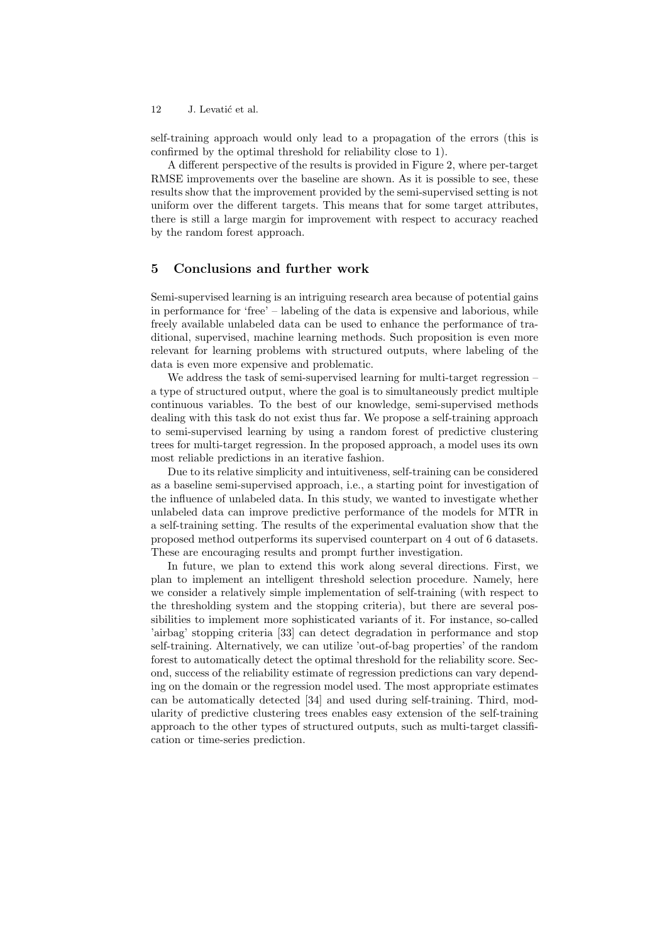self-training approach would only lead to a propagation of the errors (this is confirmed by the optimal threshold for reliability close to 1).

A different perspective of the results is provided in Figure 2, where per-target RMSE improvements over the baseline are shown. As it is possible to see, these results show that the improvement provided by the semi-supervised setting is not uniform over the different targets. This means that for some target attributes, there is still a large margin for improvement with respect to accuracy reached by the random forest approach.

# 5 Conclusions and further work

Semi-supervised learning is an intriguing research area because of potential gains in performance for 'free' – labeling of the data is expensive and laborious, while freely available unlabeled data can be used to enhance the performance of traditional, supervised, machine learning methods. Such proposition is even more relevant for learning problems with structured outputs, where labeling of the data is even more expensive and problematic.

We address the task of semi-supervised learning for multi-target regression – a type of structured output, where the goal is to simultaneously predict multiple continuous variables. To the best of our knowledge, semi-supervised methods dealing with this task do not exist thus far. We propose a self-training approach to semi-supervised learning by using a random forest of predictive clustering trees for multi-target regression. In the proposed approach, a model uses its own most reliable predictions in an iterative fashion.

Due to its relative simplicity and intuitiveness, self-training can be considered as a baseline semi-supervised approach, i.e., a starting point for investigation of the influence of unlabeled data. In this study, we wanted to investigate whether unlabeled data can improve predictive performance of the models for MTR in a self-training setting. The results of the experimental evaluation show that the proposed method outperforms its supervised counterpart on 4 out of 6 datasets. These are encouraging results and prompt further investigation.

In future, we plan to extend this work along several directions. First, we plan to implement an intelligent threshold selection procedure. Namely, here we consider a relatively simple implementation of self-training (with respect to the thresholding system and the stopping criteria), but there are several possibilities to implement more sophisticated variants of it. For instance, so-called 'airbag' stopping criteria [33] can detect degradation in performance and stop self-training. Alternatively, we can utilize 'out-of-bag properties' of the random forest to automatically detect the optimal threshold for the reliability score. Second, success of the reliability estimate of regression predictions can vary depending on the domain or the regression model used. The most appropriate estimates can be automatically detected [34] and used during self-training. Third, modularity of predictive clustering trees enables easy extension of the self-training approach to the other types of structured outputs, such as multi-target classification or time-series prediction.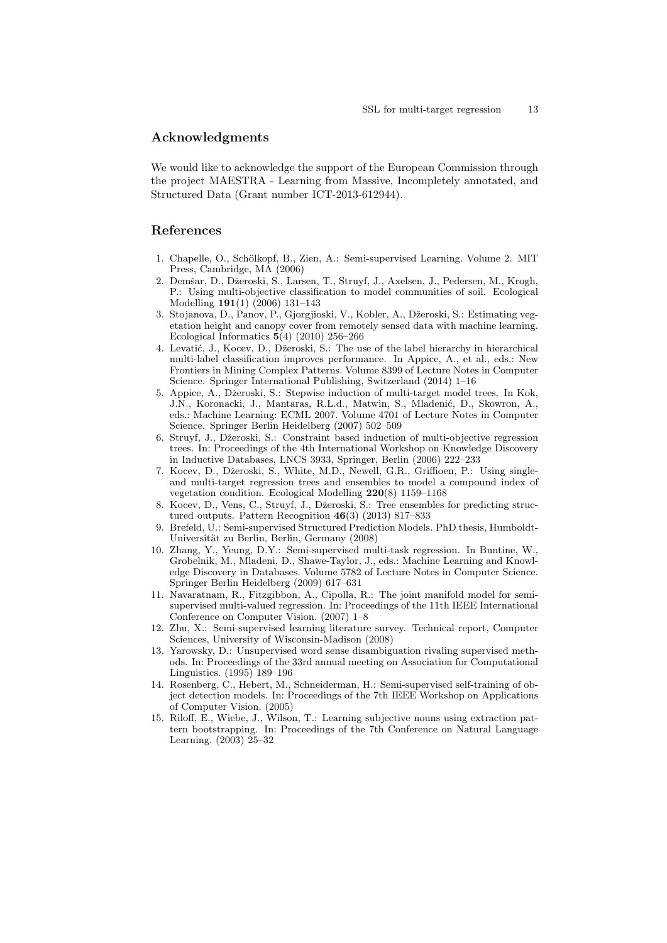### Acknowledgments

We would like to acknowledge the support of the European Commission through the project MAESTRA - Learning from Massive, Incompletely annotated, and Structured Data (Grant number ICT-2013-612944).

# References

- 1. Chapelle, O., Schölkopf, B., Zien, A.: Semi-supervised Learning. Volume 2. MIT Press, Cambridge, MA (2006)
- 2. Demšar, D., Džeroski, S., Larsen, T., Struyf, J., Axelsen, J., Pedersen, M., Krogh, P.: Using multi-objective classification to model communities of soil. Ecological Modelling 191(1) (2006) 131–143
- 3. Stojanova, D., Panov, P., Gjorgjioski, V., Kobler, A., Džeroski, S.: Estimating vegetation height and canopy cover from remotely sensed data with machine learning. Ecological Informatics  $5(4)$  (2010) 256–266
- 4. Levatić, J., Kocev, D., Džeroski, S.: The use of the label hierarchy in hierarchical multi-label classification improves performance. In Appice, A., et al., eds.: New Frontiers in Mining Complex Patterns. Volume 8399 of Lecture Notes in Computer Science. Springer International Publishing, Switzerland (2014) 1–16
- 5. Appice, A., Džeroski, S.: Stepwise induction of multi-target model trees. In Kok, J.N., Koronacki, J., Mantaras, R.L.d., Matwin, S., Mladenić, D., Skowron, A., eds.: Machine Learning: ECML 2007. Volume 4701 of Lecture Notes in Computer Science. Springer Berlin Heidelberg (2007) 502–509
- 6. Struyf, J., Dˇzeroski, S.: Constraint based induction of multi-objective regression trees. In: Proceedings of the 4th International Workshop on Knowledge Discovery in Inductive Databases, LNCS 3933, Springer, Berlin (2006) 222–233
- 7. Kocev, D., Džeroski, S., White, M.D., Newell, G.R., Griffioen, P.: Using singleand multi-target regression trees and ensembles to model a compound index of vegetation condition. Ecological Modelling 220(8) 1159–1168
- 8. Kocev, D., Vens, C., Struyf, J., Džeroski, S.: Tree ensembles for predicting structured outputs. Pattern Recognition 46(3) (2013) 817–833
- 9. Brefeld, U.: Semi-supervised Structured Prediction Models. PhD thesis, Humboldt-Universität zu Berlin, Berlin, Germany (2008)
- 10. Zhang, Y., Yeung, D.Y.: Semi-supervised multi-task regression. In Buntine, W., Grobelnik, M., Mladeni, D., Shawe-Taylor, J., eds.: Machine Learning and Knowledge Discovery in Databases. Volume 5782 of Lecture Notes in Computer Science. Springer Berlin Heidelberg (2009) 617–631
- 11. Navaratnam, R., Fitzgibbon, A., Cipolla, R.: The joint manifold model for semisupervised multi-valued regression. In: Proceedings of the 11th IEEE International Conference on Computer Vision. (2007) 1–8
- 12. Zhu, X.: Semi-supervised learning literature survey. Technical report, Computer Sciences, University of Wisconsin-Madison (2008)
- 13. Yarowsky, D.: Unsupervised word sense disambiguation rivaling supervised methods. In: Proceedings of the 33rd annual meeting on Association for Computational Linguistics. (1995) 189–196
- 14. Rosenberg, C., Hebert, M., Schneiderman, H.: Semi-supervised self-training of object detection models. In: Proceedings of the 7th IEEE Workshop on Applications of Computer Vision. (2005)
- 15. Riloff, E., Wiebe, J., Wilson, T.: Learning subjective nouns using extraction pattern bootstrapping. In: Proceedings of the 7th Conference on Natural Language Learning. (2003) 25–32